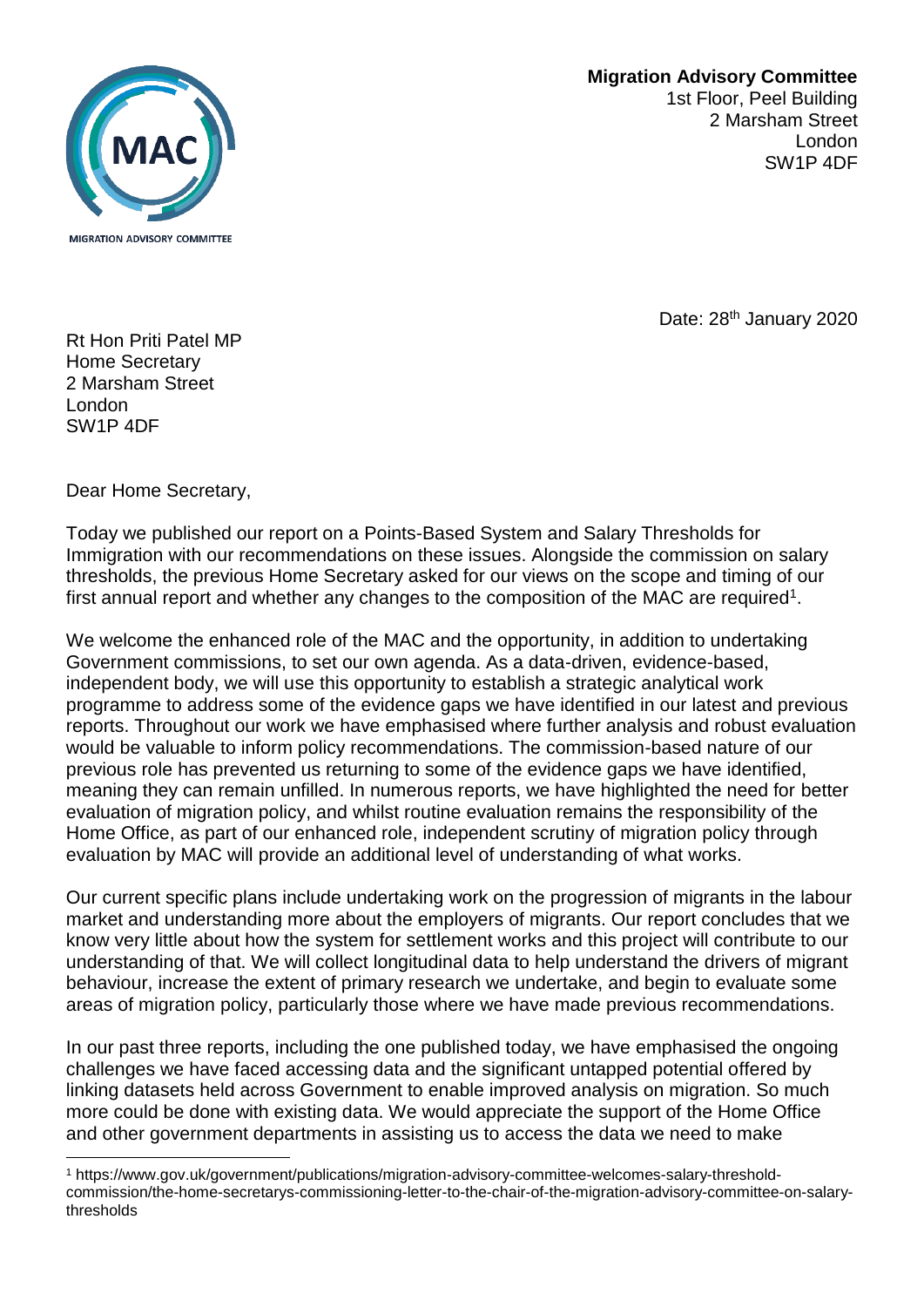## **Migration Advisory Committee**  1st Floor, Peel Building 2 Marsham Street London



Date: 28<sup>th</sup> January 2020

SW1P 4DF

Rt Hon Priti Patel MP Home Secretary 2 Marsham Street London SW1P 4DF

Dear Home Secretary,

l

 Today we published our report on a Points-Based System and Salary Thresholds for Immigration with our recommendations on these issues. Alongside the commission on salary thresholds, the previous Home Secretary asked for our views on the scope and timing of our first annual report and whether any changes to the composition of the MAC are required<sup>1</sup>.

 meaning they can remain unfilled. In numerous reports, we have highlighted the need for better evaluation of migration policy, and whilst routine evaluation remains the responsibility of the We welcome the enhanced role of the MAC and the opportunity, in addition to undertaking Government commissions, to set our own agenda. As a data-driven, evidence-based, independent body, we will use this opportunity to establish a strategic analytical work programme to address some of the evidence gaps we have identified in our latest and previous reports. Throughout our work we have emphasised where further analysis and robust evaluation would be valuable to inform policy recommendations. The commission-based nature of our previous role has prevented us returning to some of the evidence gaps we have identified, Home Office, as part of our enhanced role, independent scrutiny of migration policy through evaluation by MAC will provide an additional level of understanding of what works.

 market and understanding more about the employers of migrants. Our report concludes that we Our current specific plans include undertaking work on the progression of migrants in the labour know very little about how the system for settlement works and this project will contribute to our understanding of that. We will collect longitudinal data to help understand the drivers of migrant behaviour, increase the extent of primary research we undertake, and begin to evaluate some areas of migration policy, particularly those where we have made previous recommendations.

 In our past three reports, including the one published today, we have emphasised the ongoing challenges we have faced accessing data and the significant untapped potential offered by linking datasets held across Government to enable improved analysis on migration. So much more could be done with existing data. We would appreciate the support of the Home Office and other government departments in assisting us to access the data we need to make

<sup>1</sup> <https://www.gov.uk/government/publications/migration-advisory-committee-welcomes-salary-threshold>commission/the-home-secretarys-commissioning-letter-to-the-chair-of-the-migration-advisory-committee-on-salarythresholds